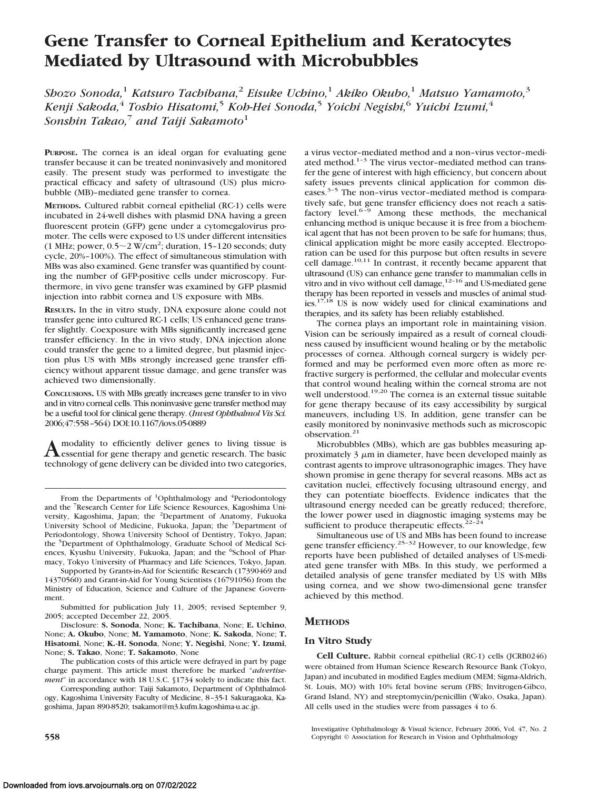# **Gene Transfer to Corneal Epithelium and Keratocytes Mediated by Ultrasound with Microbubbles**

*Shozo Sonoda,*<sup>1</sup> *Katsuro Tachibana,*<sup>2</sup> *Eisuke Uchino,*<sup>1</sup> *Akiko Okubo,*<sup>1</sup> *Matsuo Yamamoto,*<sup>3</sup> *Kenji Sakoda,*<sup>4</sup> *Toshio Hisatomi,*<sup>5</sup> *Koh-Hei Sonoda,*<sup>5</sup> *Yoichi Negishi,*<sup>6</sup> *Yuichi Izumi,*<sup>4</sup> *Sonshin Takao*,<sup>7</sup> *and Taiji Sakamoto*<sup>1</sup>

PURPOSE. The cornea is an ideal organ for evaluating gene transfer because it can be treated noninvasively and monitored easily. The present study was performed to investigate the practical efficacy and safety of ultrasound (US) plus microbubble (MB)–mediated gene transfer to cornea.

**METHODS.** Cultured rabbit corneal epithelial (RC-1) cells were incubated in 24-well dishes with plasmid DNA having a green fluorescent protein (GFP) gene under a cytomegalovirus promoter. The cells were exposed to US under different intensities (1 MHz; power,  $0.5 \sim 2 \text{ W/cm}^2$ ; duration, 15-120 seconds; duty cycle, 20%–100%). The effect of simultaneous stimulation with MBs was also examined. Gene transfer was quantified by counting the number of GFP-positive cells under microscopy. Furthermore, in vivo gene transfer was examined by GFP plasmid injection into rabbit cornea and US exposure with MBs.

**RESULTS.** In the in vitro study, DNA exposure alone could not transfer gene into cultured RC-1 cells; US enhanced gene transfer slightly. Coexposure with MBs significantly increased gene transfer efficiency. In the in vivo study, DNA injection alone could transfer the gene to a limited degree, but plasmid injection plus US with MBs strongly increased gene transfer efficiency without apparent tissue damage, and gene transfer was achieved two dimensionally.

**CONCLUSIONS.** US with MBs greatly increases gene transfer to in vivo and in vitro corneal cells. This noninvasive gene transfer method may be a useful tool for clinical gene therapy. (*Invest Ophthalmol Vis Sci.* 2006;47:558–564) DOI:10.1167/iovs.05-0889

A modality to efficiently deliver genes to living tissue is<br>essential for gene therapy and genetic research. The basic technology of gene delivery can be divided into two categories,

Supported by Grants-in-Aid for Scientific Research (17390469 and 14370560) and Grant-in-Aid for Young Scientists (16791056) from the Ministry of Education, Science and Culture of the Japanese Government.

Submitted for publication July 11, 2005; revised September 9, 2005; accepted December 22, 2005.

Disclosure: **S. Sonoda**, None; **K. Tachibana**, None; **E. Uchino**, None; **A. Okubo**, None; **M. Yamamoto**, None; **K. Sakoda**, None; **T. Hisatomi**, None; **K.-H. Sonoda**, None; **Y. Negishi**, None; **Y. Izumi**, None; **S. Takao**, None; **T. Sakamoto**, None

The publication costs of this article were defrayed in part by page charge payment. This article must therefore be marked "*advertisement*" in accordance with 18 U.S.C. §1734 solely to indicate this fact.

Corresponding author: Taiji Sakamoto, Department of Ophthalmology, Kagoshima University Faculty of Medicine, 8 –35-1 Sakuragaoka, Kagoshima, Japan 890-8520; tsakamot@m3.kufm.kagoshima-u.ac.jp.

a virus vector–mediated method and a non–virus vector–mediated method.1–3 The virus vector–mediated method can transfer the gene of interest with high efficiency, but concern about safety issues prevents clinical application for common diseases.3–5 The non–virus vector–mediated method is comparatively safe, but gene transfer efficiency does not reach a satisfactory level.<sup>6-9</sup> Among these methods, the mechanical enhancing method is unique because it is free from a biochemical agent that has not been proven to be safe for humans; thus, clinical application might be more easily accepted. Electroporation can be used for this purpose but often results in severe cell damage.<sup>10,11</sup> In contrast, it recently became apparent that ultrasound (US) can enhance gene transfer to mammalian cells in vitro and in vivo without cell damage,<sup>12-16</sup> and US-mediated gene therapy has been reported in vessels and muscles of animal studies.<sup>17,18</sup> US is now widely used for clinical examinations and therapies, and its safety has been reliably established.

The cornea plays an important role in maintaining vision. Vision can be seriously impaired as a result of corneal cloudiness caused by insufficient wound healing or by the metabolic processes of cornea. Although corneal surgery is widely performed and may be performed even more often as more refractive surgery is performed, the cellular and molecular events that control wound healing within the corneal stroma are not well understood.<sup>19,20</sup> The cornea is an external tissue suitable for gene therapy because of its easy accessibility by surgical maneuvers, including US. In addition, gene transfer can be easily monitored by noninvasive methods such as microscopic observation.<sup>21</sup>

Microbubbles (MBs), which are gas bubbles measuring approximately  $3 \mu m$  in diameter, have been developed mainly as contrast agents to improve ultrasonographic images. They have shown promise in gene therapy for several reasons. MBs act as cavitation nuclei, effectively focusing ultrasound energy, and they can potentiate bioeffects. Evidence indicates that the ultrasound energy needed can be greatly reduced; therefore, the lower power used in diagnostic imaging systems may be sufficient to produce therapeutic effects. $22-24$ 

Simultaneous use of US and MBs has been found to increase gene transfer efficiency.<sup>25-32</sup> However, to our knowledge, few reports have been published of detailed analyses of US-mediated gene transfer with MBs. In this study, we performed a detailed analysis of gene transfer mediated by US with MBs using cornea, and we show two-dimensional gene transfer achieved by this method.

# **METHODS**

### **In Vitro Study**

**Cell Culture.** Rabbit corneal epithelial (RC-1) cells (JCRB0246) were obtained from Human Science Research Resource Bank (Tokyo, Japan) and incubated in modified Eagles medium (MEM; Sigma-Aldrich, St. Louis, MO) with 10% fetal bovine serum (FBS; Invitrogen-Gibco, Grand Island, NY) and streptomycin/penicillin (Wako, Osaka, Japan). All cells used in the studies were from passages 4 to 6.

Investigative Ophthalmology & Visual Science, February 2006, Vol. 47, No. 2 **558** Copyright © Association for Research in Vision and Ophthalmology

From the Departments of <sup>1</sup>Ophthalmology and <sup>4</sup>Periodontology and the <sup>7</sup> Research Center for Life Science Resources, Kagoshima University, Kagoshima, Japan; the <sup>2</sup>Department of Anatomy, Fukuoka University School of Medicine, Fukuoka, Japan; the <sup>3</sup>Department of Periodontology, Showa University School of Dentistry, Tokyo, Japan; the <sup>5</sup>Department of Ophthalmology, Graduate School of Medical Sciences, Kyushu University, Fukuoka, Japan; and the <sup>6</sup>School of Pharmacy, Tokyo University of Pharmacy and Life Sciences, Tokyo, Japan.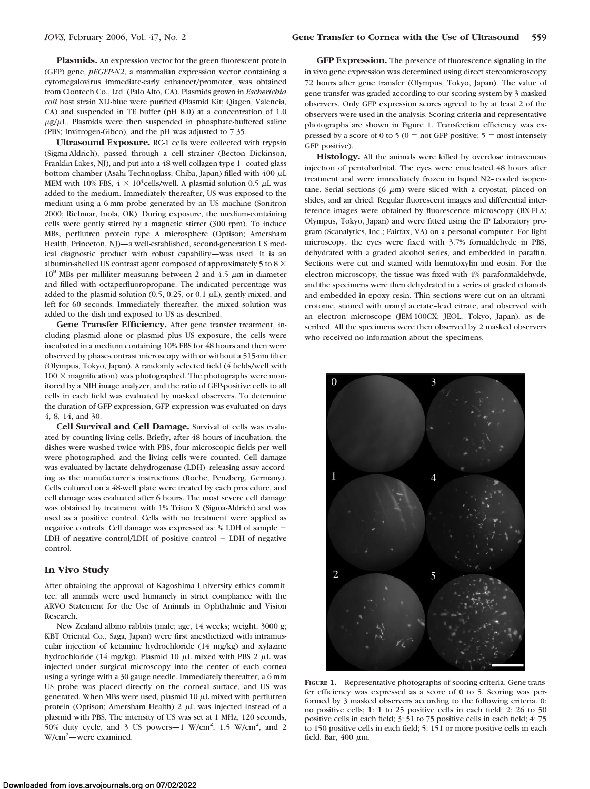**Plasmids.** An expression vector for the green fluorescent protein (GFP) gene, *pEGFP-N2*, a mammalian expression vector containing a cytomegalovirus immediate-early enhancer/promoter, was obtained from Clontech Co., Ltd. (Palo Alto, CA). Plasmids grown in *Escherichia coli* host strain XLI-blue were purified (Plasmid Kit; Qiagen, Valencia, CA) and suspended in TE buffer (pH 8.0) at a concentration of 1.0  $\mu$ g/ $\mu$ L. Plasmids were then suspended in phosphate-buffered saline (PBS; Invitrogen-Gibco), and the pH was adjusted to 7.35.

**Ultrasound Exposure.** RC-1 cells were collected with trypsin (Sigma-Aldrich), passed through a cell strainer (Becton Dickinson, Franklin Lakes, NJ), and put into a 48-well collagen type 1–coated glass bottom chamber (Asahi Technoglass, Chiba, Japan) filled with  $400 \mu L$ MEM with 10% FBS,  $4 \times 10^4$ cells/well. A plasmid solution 0.5  $\mu$ L was added to the medium. Immediately thereafter, US was exposed to the medium using a 6-mm probe generated by an US machine (Sonitron 2000; Richmar, Inola, OK). During exposure, the medium-containing cells were gently stirred by a magnetic stirrer (300 rpm). To induce MBs, perflutren protein type A microsphere (Optison; Amersham Health, Princeton, NJ)—a well-established, second-generation US medical diagnostic product with robust capability—was used. It is an albumin-shelled US contrast agent composed of approximately 5 to 8  $\times$  $10^8$  MBs per milliliter measuring between 2 and 4.5  $\mu$ m in diameter and filled with octaperfluoropropane. The indicated percentage was added to the plasmid solution (0.5, 0.25, or 0.1  $\mu$ L), gently mixed, and left for 60 seconds. Immediately thereafter, the mixed solution was added to the dish and exposed to US as described.

**Gene Transfer Efficiency.** After gene transfer treatment, including plasmid alone or plasmid plus US exposure, the cells were incubated in a medium containing 10% FBS for 48 hours and then were observed by phase-contrast microscopy with or without a 515-nm filter (Olympus, Tokyo, Japan). A randomly selected field (4 fields/well with  $100 \times$  magnification) was photographed. The photographs were monitored by a NIH image analyzer, and the ratio of GFP-positive cells to all cells in each field was evaluated by masked observers. To determine the duration of GFP expression, GFP expression was evaluated on days 4, 8, 14, and 30.

**Cell Survival and Cell Damage.** Survival of cells was evaluated by counting living cells. Briefly, after 48 hours of incubation, the dishes were washed twice with PBS, four microscopic fields per well were photographed, and the living cells were counted. Cell damage was evaluated by lactate dehydrogenase (LDH)–releasing assay according as the manufacturer's instructions (Roche, Penzberg, Germany). Cells cultured on a 48-well plate were treated by each procedure, and cell damage was evaluated after 6 hours. The most severe cell damage was obtained by treatment with 1% Triton X (Sigma-Aldrich) and was used as a positive control. Cells with no treatment were applied as negative controls. Cell damage was expressed as: % LDH of sample LDH of negative control/LDH of positive control  $-$  LDH of negative control.

#### **In Vivo Study**

After obtaining the approval of Kagoshima University ethics committee, all animals were used humanely in strict compliance with the ARVO Statement for the Use of Animals in Ophthalmic and Vision Research.

New Zealand albino rabbits (male; age, 14 weeks; weight, 3000 g; KBT Oriental Co., Saga, Japan) were first anesthetized with intramuscular injection of ketamine hydrochloride (14 mg/kg) and xylazine hydrochloride (14 mg/kg). Plasmid 10  $\mu$ L mixed with PBS 2  $\mu$ L was injected under surgical microscopy into the center of each cornea using a syringe with a 30-gauge needle. Immediately thereafter, a 6-mm US probe was placed directly on the corneal surface, and US was generated. When MBs were used, plasmid 10  $\mu$ L mixed with perflutren protein (Optison; Amersham Health)  $2 \mu L$  was injected instead of a plasmid with PBS. The intensity of US was set at 1 MHz, 120 seconds, 50% duty cycle, and 3 US powers  $-1$  W/cm<sup>2</sup>, 1.5 W/cm<sup>2</sup>, and 2 W/cm2 —were examined.

**GFP Expression.** The presence of fluorescence signaling in the in vivo gene expression was determined using direct stereomicroscopy 72 hours after gene transfer (Olympus, Tokyo, Japan). The value of gene transfer was graded according to our scoring system by 3 masked observers. Only GFP expression scores agreed to by at least 2 of the observers were used in the analysis. Scoring criteria and representative photographs are shown in Figure 1. Transfection efficiency was expressed by a score of 0 to 5 ( $0 =$  not GFP positive;  $5 =$  most intensely GFP positive).

**Histology.** All the animals were killed by overdose intravenous injection of pentobarbital. The eyes were enucleated 48 hours after treatment and were immediately frozen in liquid N2–cooled isopentane. Serial sections  $(6 \mu m)$  were sliced with a cryostat, placed on slides, and air dried. Regular fluorescent images and differential interference images were obtained by fluorescence microscopy (BX-FLA; Olympus, Tokyo, Japan) and were fitted using the IP Laboratory program (Scanalytics, Inc.; Fairfax, VA) on a personal computer. For light microscopy, the eyes were fixed with 3.7% formaldehyde in PBS, dehydrated with a graded alcohol series, and embedded in paraffin. Sections were cut and stained with hematoxylin and eosin. For the electron microscopy, the tissue was fixed with 4% paraformaldehyde, and the specimens were then dehydrated in a series of graded ethanols and embedded in epoxy resin. Thin sections were cut on an ultramicrotome, stained with uranyl acetate–lead citrate, and observed with an electron microscope (JEM-100CX; JEOL, Tokyo, Japan), as described. All the specimens were then observed by 2 masked observers who received no information about the specimens.



**FIGURE 1.** Representative photographs of scoring criteria. Gene transfer efficiency was expressed as a score of 0 to 5. Scoring was performed by 3 masked observers according to the following criteria. 0: no positive cells; 1: 1 to 25 positive cells in each field; 2: 26 to 50 positive cells in each field; 3: 51 to 75 positive cells in each field; 4: 75 to 150 positive cells in each field; 5: 151 or more positive cells in each field. Bar,  $400 \mu m$ .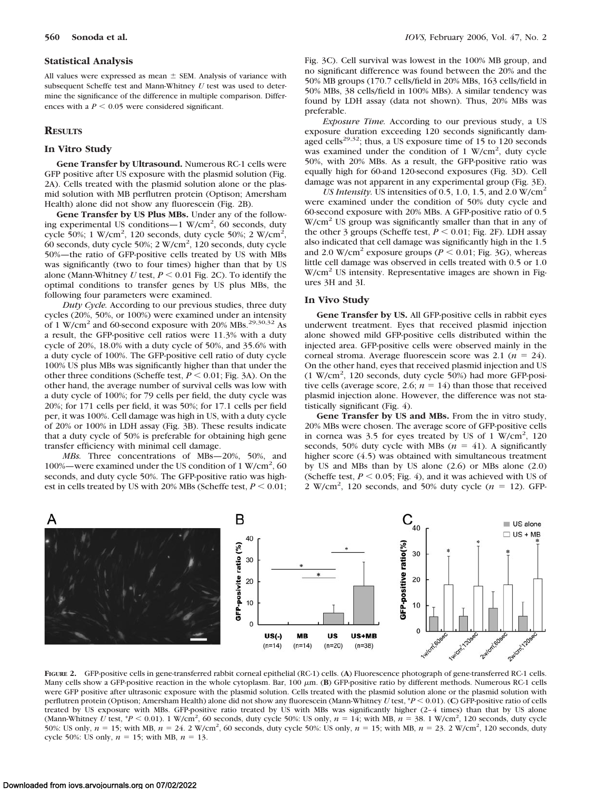#### **Statistical Analysis**

All values were expressed as mean  $\pm$  SEM. Analysis of variance with subsequent Scheffe test and Mann-Whitney *U* test was used to determine the significance of the difference in multiple comparison. Differences with a  $P < 0.05$  were considered significant.

#### **RESULTS**

#### **In Vitro Study**

**Gene Transfer by Ultrasound.** Numerous RC-1 cells were GFP positive after US exposure with the plasmid solution (Fig. 2A). Cells treated with the plasmid solution alone or the plasmid solution with MB perflutren protein (Optison; Amersham Health) alone did not show any fluorescein (Fig. 2B).

**Gene Transfer by US Plus MBs.** Under any of the following experimental US conditions—1 W/cm<sup>2</sup>, 60 seconds, duty cycle 50%; 1 W/cm<sup>2</sup>, 120 seconds, duty cycle 50%; 2 W/cm<sup>2</sup>, 60 seconds, duty cycle 50%; 2 W/cm2 , 120 seconds, duty cycle 50%—the ratio of GFP-positive cells treated by US with MBs was significantly (two to four times) higher than that by US alone (Mann-Whitney  $U$  test,  $P \le 0.01$  Fig. 2C). To identify the optimal conditions to transfer genes by US plus MBs, the following four parameters were examined.

*Duty Cycle.* According to our previous studies, three duty cycles (20%, 50%, or 100%) were examined under an intensity of 1 W/cm<sup>2</sup> and 60-second exposure with 20% MBs.<sup>29,30,32</sup> As a result, the GFP-positive cell ratios were 11.3% with a duty cycle of 20%, 18.0% with a duty cycle of 50%, and 35.6% with a duty cycle of 100%. The GFP-positive cell ratio of duty cycle 100% US plus MBs was significantly higher than that under the other three conditions (Scheffe test,  $P \le 0.01$ ; Fig. 3A). On the other hand, the average number of survival cells was low with a duty cycle of 100%; for 79 cells per field, the duty cycle was 20%; for 171 cells per field, it was 50%; for 17.1 cells per field per, it was 100%. Cell damage was high in US, with a duty cycle of 20% or 100% in LDH assay (Fig. 3B). These results indicate that a duty cycle of 50% is preferable for obtaining high gene transfer efficiency with minimal cell damage.

*MBs.* Three concentrations of MBs—20%, 50%, and 100%—were examined under the US condition of 1 W/cm2 , 60 seconds, and duty cycle 50%. The GFP-positive ratio was highest in cells treated by US with 20% MBs (Scheffe test,  $P \le 0.01$ ; Fig. 3C). Cell survival was lowest in the 100% MB group, and no significant difference was found between the 20% and the 50% MB groups (170.7 cells/field in 20% MBs, 163 cells/field in 50% MBs, 38 cells/field in 100% MBs). A similar tendency was found by LDH assay (data not shown). Thus, 20% MBs was preferable.

*Exposure Time.* According to our previous study, a US exposure duration exceeding 120 seconds significantly damaged cells<sup>29,32</sup>; thus, a US exposure time of 15 to 120 seconds was examined under the condition of 1 W/cm<sup>2</sup>, duty cycle 50%, with 20% MBs. As a result, the GFP-positive ratio was equally high for 60-and 120-second exposures (Fig. 3D). Cell damage was not apparent in any experimental group (Fig. 3E).

*US Intensity.* US intensities of 0.5, 1.0, 1.5, and 2.0  $W/cm<sup>2</sup>$ were examined under the condition of 50% duty cycle and 60-second exposure with 20% MBs. A GFP-positive ratio of 0.5  $W/cm<sup>2</sup>$  US group was significantly smaller than that in any of the other 3 groups (Scheffe test,  $P < 0.01$ ; Fig. 2F). LDH assay also indicated that cell damage was significantly high in the 1.5 and 2.0 W/cm<sup>2</sup> exposure groups ( $P < 0.01$ ; Fig. 3G), whereas little cell damage was observed in cells treated with 0.5 or 1.0  $W/cm<sup>2</sup>$  US intensity. Representative images are shown in Figures 3H and 3I.

#### **In Vivo Study**

**Gene Transfer by US.** All GFP-positive cells in rabbit eyes underwent treatment. Eyes that received plasmid injection alone showed mild GFP-positive cells distributed within the injected area. GFP-positive cells were observed mainly in the corneal stroma. Average fluorescein score was  $2.1$  ( $n = 24$ ). On the other hand, eyes that received plasmid injection and US (1 W/cm2 , 120 seconds, duty cycle 50%) had more GFP-positive cells (average score, 2.6;  $n = 14$ ) than those that received plasmid injection alone. However, the difference was not statistically significant (Fig. 4).

**Gene Transfer by US and MBs.** From the in vitro study, 20% MBs were chosen. The average score of GFP-positive cells in cornea was 3.5 for eyes treated by US of  $1 \text{ W/cm}^2$ , 120 seconds, 50% duty cycle with MBs  $(n = 41)$ . A significantly higher score  $(4.5)$  was obtained with simultaneous treatment by US and MBs than by US alone (2.6) or MBs alone (2.0) (Scheffe test,  $P \le 0.05$ ; Fig. 4), and it was achieved with US of  $2 \text{ W/cm}^2$ , 120 seconds, and 50% duty cycle ( $n = 12$ ). GFP-



**FIGURE 2.** GFP-positive cells in gene-transferred rabbit corneal epithelial (RC-1) cells. (**A**) Fluorescence photograph of gene-transferred RC-1 cells. Many cells show a GFP-positive reaction in the whole cytoplasm. Bar, 100  $\mu$ m. (B) GFP-positive ratio by different methods. Numerous RC-1 cells were GFP positive after ultrasonic exposure with the plasmid solution. Cells treated with the plasmid solution alone or the plasmid solution with perflutren protein (Optison; Amersham Health) alone did not show any fluorescein (Mann-Whitney *U* test, \**P* 0.01). (**C**) GFP-positive ratio of cells treated by US exposure with MBs. GFP-positive ratio treated by US with MBs was significantly higher (2-4 times) than that by US alone (Mann-Whitney U test,  $*P < 0.01$ ). 1 W/cm<sup>2</sup>, 60 seconds, duty cycle 50%: US only,  $n = 14$ ; with MB,  $n = 38$ . 1 W/cm<sup>2</sup>, 120 seconds, duty cycle 50%: US only,  $n = 15$ ; with MB,  $n = 24$ . 2 W/cm<sup>2</sup>, 60 seconds, duty cycle 50%: US only,  $n = 15$ ; with MB,  $n = 23$ . 2 W/cm<sup>2</sup>, 120 seconds, duty cycle 50%: US only,  $n = 15$ ; with MB,  $n = 13$ .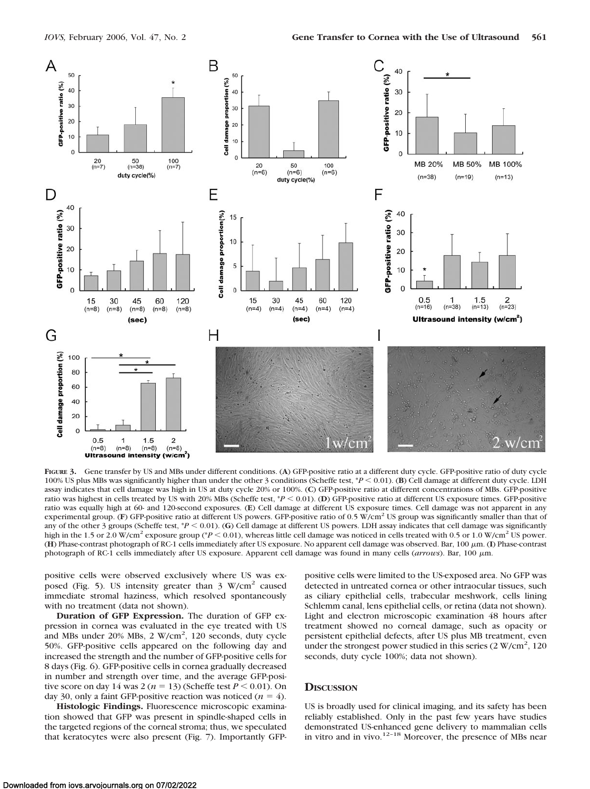

**FIGURE 3.** Gene transfer by US and MBs under different conditions. (**A**) GFP-positive ratio at a different duty cycle. GFP-positive ratio of duty cycle 100% US plus MBs was significantly higher than under the other 3 conditions (Scheffe test,  $*P < 0.01$ ). (**B**) Cell damage at different duty cycle. LDH assay indicates that cell damage was high in US at duty cycle 20% or 100%. (**C**) GFP-positive ratio at different concentrations of MBs. GFP-positive ratio was highest in cells treated by US with 20% MBs (Scheffe test,  $*P < 0.01$ ). (D) GFP-positive ratio at different US exposure times. GFP-positive ratio was equally high at 60- and 120-second exposures. (**E**) Cell damage at different US exposure times. Cell damage was not apparent in any experimental group. (F) GFP-positive ratio at different US powers. GFP-positive ratio of 0.5 W/cm<sup>2</sup> US group was significantly smaller than that of any of the other 3 groups (Scheffe test,  $*P < 0.01$ ). (G) Cell damage at different US powers. LDH assay indicates that cell damage was significantly high in the 1.5 or 2.0 W/cm<sup>2</sup> exposure group (\**P* < 0.01), whereas little cell damage was noticed in cells treated with 0.5 or 1.0 W/cm<sup>2</sup> US power. (**H**) Phase-contrast photograph of RC-1 cells immediately after US exposure. No apparent cell damage was observed. Bar, 100  $\mu$ m. (I) Phase-contrast photograph of RC-1 cells immediately after US exposure. Apparent cell damage was found in many cells (arrows). Bar, 100  $\mu$ m.

positive cells were observed exclusively where US was exposed (Fig. 5). US intensity greater than  $3 \text{ W/cm}^2$  caused immediate stromal haziness, which resolved spontaneously with no treatment (data not shown).

**Duration of GFP Expression.** The duration of GFP expression in cornea was evaluated in the eye treated with US and MBs under 20% MBs, 2 W/cm<sup>2</sup>, 120 seconds, duty cycle 50%. GFP-positive cells appeared on the following day and increased the strength and the number of GFP-positive cells for 8 days (Fig. 6). GFP-positive cells in cornea gradually decreased in number and strength over time, and the average GFP-positive score on day 14 was  $2 (n = 13)$  (Scheffe test  $P \le 0.01$ ). On day 30, only a faint GFP-positive reaction was noticed  $(n = 4)$ .

**Histologic Findings.** Fluorescence microscopic examination showed that GFP was present in spindle-shaped cells in the targeted regions of the corneal stroma; thus, we speculated that keratocytes were also present (Fig. 7). Importantly GFP- positive cells were limited to the US-exposed area. No GFP was detected in untreated cornea or other intraocular tissues, such as ciliary epithelial cells, trabecular meshwork, cells lining Schlemm canal, lens epithelial cells, or retina (data not shown). Light and electron microscopic examination 48 hours after treatment showed no corneal damage, such as opacity or persistent epithelial defects, after US plus MB treatment, even under the strongest power studied in this series  $(2 \text{ W/cm}^2, 120)$ seconds, duty cycle 100%; data not shown).

## **DISCUSSION**

US is broadly used for clinical imaging, and its safety has been reliably established. Only in the past few years have studies demonstrated US-enhanced gene delivery to mammalian cells in vitro and in vivo. $12-18$  Moreover, the presence of MBs near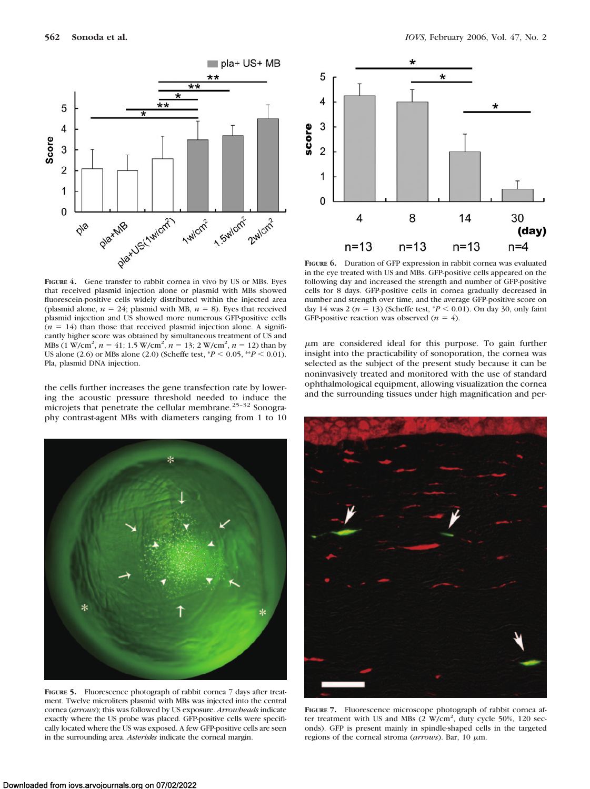Pla, plasmid DNA injection.



that received plasmid injection alone or plasmid with MBs showed fluorescein-positive cells widely distributed within the injected area (plasmid alone,  $n = 24$ ; plasmid with MB,  $n = 8$ ). Eyes that received plasmid injection and US showed more numerous GFP-positive cells  $(n = 14)$  than those that received plasmid injection alone. A significantly higher score was obtained by simultaneous treatment of US and MBs (1 W/cm<sup>2</sup>,  $n = 41$ ; 1.5 W/cm<sup>2</sup>,  $n = 13$ ; 2 W/cm<sup>2</sup>,  $n = 12$ ) than by US alone (2.6) or MBs alone (2.0) (Scheffe test,  $*P < 0.05$ ,  $*P < 0.01$ ).



**FIGURE 6.** Duration of GFP expression in rabbit cornea was evaluated in the eye treated with US and MBs. GFP-positive cells appeared on the following day and increased the strength and number of GFP-positive cells for 8 days. GFP-positive cells in cornea gradually decreased in number and strength over time, and the average GFP-positive score on day 14 was 2 ( $n = 13$ ) (Scheffe test,  $P < 0.01$ ). On day 30, only faint GFP-positive reaction was observed  $(n = 4)$ .

m are considered ideal for this purpose. To gain further insight into the practicability of sonoporation, the cornea was selected as the subject of the present study because it can be noninvasively treated and monitored with the use of standard ophthalmological equipment, allowing visualization the cornea and the surrounding tissues under high magnification and per-

the cells further increases the gene transfection rate by lowering the acoustic pressure threshold needed to induce the microjets that penetrate the cellular membrane.<sup>25-32</sup> Sonography contrast-agent MBs with diameters ranging from 1 to 10

**FIGURE 5.** Fluorescence photograph of rabbit cornea 7 days after treatment. Twelve microliters plasmid with MBs was injected into the central cornea (*arrows*); this was followed by US exposure. *Arrowheads* indicate exactly where the US probe was placed. GFP-positive cells were specifically located where the US was exposed. A few GFP-positive cells are seen in the surrounding area. *Asterisks* indicate the corneal margin.



**FIGURE 7.** Fluorescence microscope photograph of rabbit cornea after treatment with US and MBs  $(2 \text{ W/cm}^2, \text{ duty cycle } 50\%, 120 \text{ sec-}$ onds). GFP is present mainly in spindle-shaped cells in the targeted regions of the corneal stroma (arrows). Bar, 10 μm.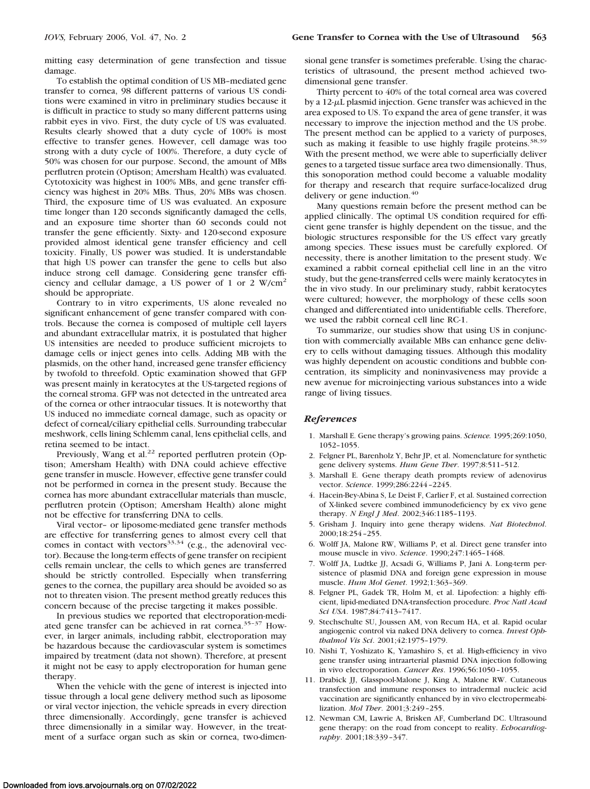mitting easy determination of gene transfection and tissue damage.

To establish the optimal condition of US MB–mediated gene transfer to cornea, 98 different patterns of various US conditions were examined in vitro in preliminary studies because it is difficult in practice to study so many different patterns using rabbit eyes in vivo. First, the duty cycle of US was evaluated. Results clearly showed that a duty cycle of 100% is most effective to transfer genes. However, cell damage was too strong with a duty cycle of 100%. Therefore, a duty cycle of 50% was chosen for our purpose. Second, the amount of MBs perflutren protein (Optison; Amersham Health) was evaluated. Cytotoxicity was highest in 100% MBs, and gene transfer efficiency was highest in 20% MBs. Thus, 20% MBs was chosen. Third, the exposure time of US was evaluated. An exposure time longer than 120 seconds significantly damaged the cells, and an exposure time shorter than 60 seconds could not transfer the gene efficiently. Sixty- and 120-second exposure provided almost identical gene transfer efficiency and cell toxicity. Finally, US power was studied. It is understandable that high US power can transfer the gene to cells but also induce strong cell damage. Considering gene transfer efficiency and cellular damage, a US power of 1 or 2 W/cm<sup>2</sup> should be appropriate.

Contrary to in vitro experiments, US alone revealed no significant enhancement of gene transfer compared with controls. Because the cornea is composed of multiple cell layers and abundant extracellular matrix, it is postulated that higher US intensities are needed to produce sufficient microjets to damage cells or inject genes into cells. Adding MB with the plasmids, on the other hand, increased gene transfer efficiency by twofold to threefold. Optic examination showed that GFP was present mainly in keratocytes at the US-targeted regions of the corneal stroma. GFP was not detected in the untreated area of the cornea or other intraocular tissues. It is noteworthy that US induced no immediate corneal damage, such as opacity or defect of corneal/ciliary epithelial cells. Surrounding trabecular meshwork, cells lining Schlemm canal, lens epithelial cells, and retina seemed to be intact.

Previously, Wang et al.<sup>22</sup> reported perflutren protein (Optison; Amersham Health) with DNA could achieve effective gene transfer in muscle. However, effective gene transfer could not be performed in cornea in the present study. Because the cornea has more abundant extracellular materials than muscle, perflutren protein (Optison; Amersham Health) alone might not be effective for transferring DNA to cells.

Viral vector– or liposome-mediated gene transfer methods are effective for transferring genes to almost every cell that comes in contact with vectors $33,34$  (e.g., the adenoviral vector). Because the long-term effects of gene transfer on recipient cells remain unclear, the cells to which genes are transferred should be strictly controlled. Especially when transferring genes to the cornea, the pupillary area should be avoided so as not to threaten vision. The present method greatly reduces this concern because of the precise targeting it makes possible.

In previous studies we reported that electroporation-mediated gene transfer can be achieved in rat cornea.<sup>35-37</sup> However, in larger animals, including rabbit, electroporation may be hazardous because the cardiovascular system is sometimes impaired by treatment (data not shown). Therefore, at present it might not be easy to apply electroporation for human gene therapy.

When the vehicle with the gene of interest is injected into tissue through a local gene delivery method such as liposome or viral vector injection, the vehicle spreads in every direction three dimensionally. Accordingly, gene transfer is achieved three dimensionally in a similar way. However, in the treatment of a surface organ such as skin or cornea, two-dimensional gene transfer is sometimes preferable. Using the characteristics of ultrasound, the present method achieved twodimensional gene transfer.

Thirty percent to 40% of the total corneal area was covered by a  $12-\mu L$  plasmid injection. Gene transfer was achieved in the area exposed to US. To expand the area of gene transfer, it was necessary to improve the injection method and the US probe. The present method can be applied to a variety of purposes, such as making it feasible to use highly fragile proteins.<sup>38,39</sup> With the present method, we were able to superficially deliver genes to a targeted tissue surface area two dimensionally. Thus, this sonoporation method could become a valuable modality for therapy and research that require surface-localized drug delivery or gene induction.<sup>40</sup>

Many questions remain before the present method can be applied clinically. The optimal US condition required for efficient gene transfer is highly dependent on the tissue, and the biologic structures responsible for the US effect vary greatly among species. These issues must be carefully explored. Of necessity, there is another limitation to the present study. We examined a rabbit corneal epithelial cell line in an the vitro study, but the gene-transferred cells were mainly keratocytes in the in vivo study. In our preliminary study, rabbit keratocytes were cultured; however, the morphology of these cells soon changed and differentiated into unidentifiable cells. Therefore, we used the rabbit corneal cell line RC-1.

To summarize, our studies show that using US in conjunction with commercially available MBs can enhance gene delivery to cells without damaging tissues. Although this modality was highly dependent on acoustic conditions and bubble concentration, its simplicity and noninvasiveness may provide a new avenue for microinjecting various substances into a wide range of living tissues.

#### *References*

- 1. Marshall E. Gene therapy's growing pains. *Science.* 1995;269:1050, 1052–1055.
- 2. Felgner PL, Barenholz Y, Behr JP, et al. Nomenclature for synthetic gene delivery systems. *Hum Gene Ther*. 1997;8:511–512.
- 3. Marshall E. Gene therapy death prompts review of adenovirus vector. *Science*. 1999;286:2244 –2245.
- 4. Hacein-Bey-Abina S, Le Deist F, Carlier F, et al. Sustained correction of X-linked severe combined immunodeficiency by ex vivo gene therapy. *N Engl J Med*. 2002;346:1185–1193.
- 5. Grisham J. Inquiry into gene therapy widens. *Nat Biotechnol*. 2000;18:254 –255.
- 6. Wolff JA, Malone RW, Williams P, et al. Direct gene transfer into mouse muscle in vivo. *Science*. 1990;247:1465–1468.
- 7. Wolff JA, Ludtke JJ, Acsadi G, Williams P, Jani A. Long-term persistence of plasmid DNA and foreign gene expression in mouse muscle. *Hum Mol Genet*. 1992;1:363–369.
- 8. Felgner PL, Gadek TR, Holm M, et al. Lipofection: a highly efficient, lipid-mediated DNA-transfection procedure. *Proc Natl Acad Sci USA*. 1987;84:7413–7417.
- 9. Stechschulte SU, Joussen AM, von Recum HA, et al. Rapid ocular angiogenic control via naked DNA delivery to cornea. *Invest Ophthalmol Vis Sci*. 2001;42:1975–1979.
- 10. Nishi T, Yoshizato K, Yamashiro S, et al. High-efficiency in vivo gene transfer using intraarterial plasmid DNA injection following in vivo electroporation. *Cancer Res*. 1996;56:1050 –1055.
- 11. Drabick JJ, Glasspool-Malone J, King A, Malone RW. Cutaneous transfection and immune responses to intradermal nucleic acid vaccination are significantly enhanced by in vivo electropermeabilization. *Mol Ther*. 2001;3:249 –255.
- 12. Newman CM, Lawrie A, Brisken AF, Cumberland DC. Ultrasound gene therapy: on the road from concept to reality. *Echocardiography*. 2001;18:339 –347.